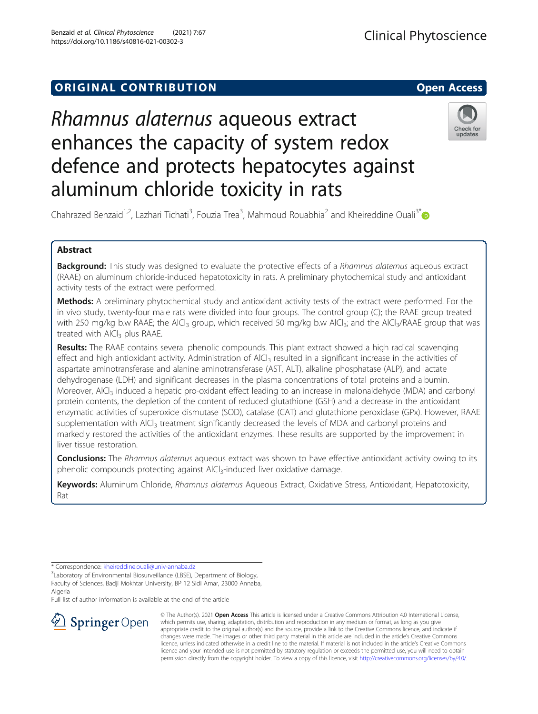## **ORIGINAL CONTRIBUTION CONTRIBUTION**

# Rhamnus alaternus aqueous extract enhances the capacity of system redox defence and protects hepatocytes against aluminum chloride toxicity in rats



Chahrazed Benzaid<sup>1,2</sup>, Lazhari Tichati<sup>3</sup>, Fouzia Trea<sup>3</sup>, Mahmoud Rouabhia<sup>2</sup> and Kheireddine Ouali<sup>3\*</sup>

## Abstract

Background: This study was designed to evaluate the protective effects of a Rhamnus alaternus aqueous extract (RAAE) on aluminum chloride-induced hepatotoxicity in rats. A preliminary phytochemical study and antioxidant activity tests of the extract were performed.

Methods: A preliminary phytochemical study and antioxidant activity tests of the extract were performed. For the in vivo study, twenty-four male rats were divided into four groups. The control group (C); the RAAE group treated with 250 mg/kg b.w RAAE; the AlCl<sub>3</sub> group, which received 50 mg/kg b.w AlCl<sub>3</sub>; and the AlCl<sub>3</sub>/RAAE group that was treated with AlCl<sub>3</sub> plus RAAE.

Results: The RAAE contains several phenolic compounds. This plant extract showed a high radical scavenging effect and high antioxidant activity. Administration of  $A|Cl<sub>3</sub>$  resulted in a significant increase in the activities of aspartate aminotransferase and alanine aminotransferase (AST, ALT), alkaline phosphatase (ALP), and lactate dehydrogenase (LDH) and significant decreases in the plasma concentrations of total proteins and albumin. Moreover, AlCl<sub>3</sub> induced a hepatic pro-oxidant effect leading to an increase in malonaldehyde (MDA) and carbonyl protein contents, the depletion of the content of reduced glutathione (GSH) and a decrease in the antioxidant enzymatic activities of superoxide dismutase (SOD), catalase (CAT) and glutathione peroxidase (GPx). However, RAAE supplementation with AlCl<sub>3</sub> treatment significantly decreased the levels of MDA and carbonyl proteins and markedly restored the activities of the antioxidant enzymes. These results are supported by the improvement in liver tissue restoration.

**Conclusions:** The Rhamnus alaternus aqueous extract was shown to have effective antioxidant activity owing to its phenolic compounds protecting against AlCl<sub>3</sub>-induced liver oxidative damage.

Keywords: Aluminum Chloride, Rhamnus alaternus Aqueous Extract, Oxidative Stress, Antioxidant, Hepatotoxicity, Rat

\* Correspondence: [kheireddine.ouali@univ-annaba.dz](mailto:kheireddine.ouali@univ-annaba.dz) <sup>3</sup>

Full list of author information is available at the end of the article



© The Author(s). 2021 Open Access This article is licensed under a Creative Commons Attribution 4.0 International License, which permits use, sharing, adaptation, distribution and reproduction in any medium or format, as long as you give appropriate credit to the original author(s) and the source, provide a link to the Creative Commons licence, and indicate if changes were made. The images or other third party material in this article are included in the article's Creative Commons licence, unless indicated otherwise in a credit line to the material. If material is not included in the article's Creative Commons licence and your intended use is not permitted by statutory regulation or exceeds the permitted use, you will need to obtain permission directly from the copyright holder. To view a copy of this licence, visit <http://creativecommons.org/licenses/by/4.0/>.

<sup>&</sup>lt;sup>3</sup>Laboratory of Environmental Biosurveillance (LBSE), Department of Biology, Faculty of Sciences, Badji Mokhtar University, BP 12 Sidi Amar, 23000 Annaba, Algeria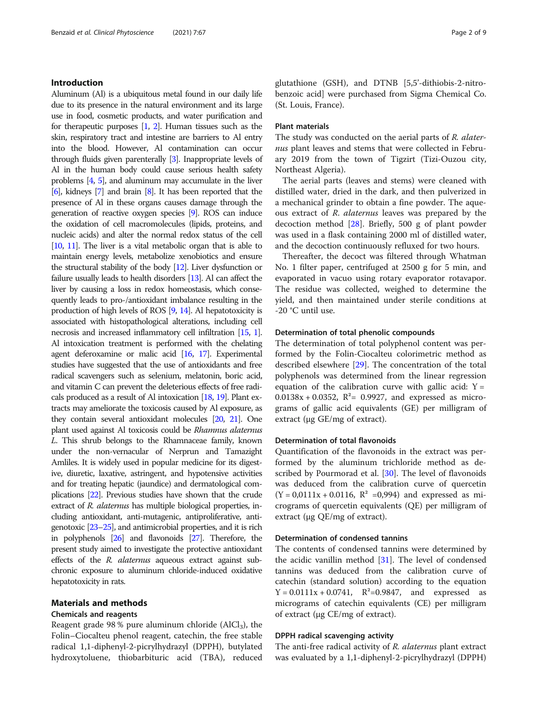## Introduction

Aluminum (Al) is a ubiquitous metal found in our daily life due to its presence in the natural environment and its large use in food, cosmetic products, and water purification and for therapeutic purposes [\[1,](#page-7-0) [2](#page-7-0)]. Human tissues such as the skin, respiratory tract and intestine are barriers to Al entry into the blood. However, Al contamination can occur through fluids given parenterally [\[3\]](#page-7-0). Inappropriate levels of Al in the human body could cause serious health safety problems [[4](#page-7-0), [5](#page-7-0)], and aluminum may accumulate in the liver [[6](#page-7-0)], kidneys [\[7](#page-7-0)] and brain [\[8\]](#page-7-0). It has been reported that the presence of Al in these organs causes damage through the generation of reactive oxygen species [\[9](#page-7-0)]. ROS can induce the oxidation of cell macromolecules (lipids, proteins, and nucleic acids) and alter the normal redox status of the cell [[10,](#page-7-0) [11\]](#page-7-0). The liver is a vital metabolic organ that is able to maintain energy levels, metabolize xenobiotics and ensure the structural stability of the body [\[12\]](#page-7-0). Liver dysfunction or failure usually leads to health disorders [\[13](#page-7-0)]. Al can affect the liver by causing a loss in redox homeostasis, which consequently leads to pro-/antioxidant imbalance resulting in the production of high levels of ROS [[9](#page-7-0), [14](#page-7-0)]. Al hepatotoxicity is associated with histopathological alterations, including cell necrosis and increased inflammatory cell infiltration [\[15](#page-7-0), [1\]](#page-7-0). Al intoxication treatment is performed with the chelating agent deferoxamine or malic acid [[16,](#page-7-0) [17](#page-7-0)]. Experimental studies have suggested that the use of antioxidants and free radical scavengers such as selenium, melatonin, boric acid, and vitamin C can prevent the deleterious effects of free radicals produced as a result of Al intoxication [[18,](#page-7-0) [19\]](#page-7-0). Plant extracts may ameliorate the toxicosis caused by Al exposure, as they contain several antioxidant molecules [\[20](#page-7-0), [21\]](#page-7-0). One plant used against Al toxicosis could be Rhamnus alaternus L. This shrub belongs to the Rhamnaceae family, known under the non-vernacular of Nerprun and Tamazight Amliles. It is widely used in popular medicine for its digestive, diuretic, laxative, astringent, and hypotensive activities and for treating hepatic (jaundice) and dermatological complications [[22\]](#page-7-0). Previous studies have shown that the crude extract of R. alaternus has multiple biological properties, including antioxidant, anti-mutagenic, antiproliferative, antigenotoxic [\[23](#page-7-0)–[25](#page-7-0)], and antimicrobial properties, and it is rich in polyphenols [\[26\]](#page-7-0) and flavonoids [\[27](#page-7-0)]. Therefore, the present study aimed to investigate the protective antioxidant effects of the R. alaternus aqueous extract against subchronic exposure to aluminum chloride-induced oxidative hepatotoxicity in rats.

## Materials and methods

## Chemicals and reagents

Reagent grade 98 % pure aluminum chloride  $(AlCl<sub>3</sub>)$ , the Folin–Ciocalteu phenol reagent, catechin, the free stable radical 1,1-diphenyl-2-picrylhydrazyl (DPPH), butylated hydroxytoluene, thiobarbituric acid (TBA), reduced glutathione (GSH), and DTNB [5,5'-dithiobis-2-nitrobenzoic acid] were purchased from Sigma Chemical Co. (St. Louis, France).

## Plant materials

The study was conducted on the aerial parts of R. alaternus plant leaves and stems that were collected in February 2019 from the town of Tigzirt (Tizi-Ouzou city, Northeast Algeria).

The aerial parts (leaves and stems) were cleaned with distilled water, dried in the dark, and then pulverized in a mechanical grinder to obtain a fine powder. The aqueous extract of R. alaternus leaves was prepared by the decoction method [\[28](#page-7-0)]. Briefly, 500 g of plant powder was used in a flask containing 2000 ml of distilled water, and the decoction continuously refluxed for two hours.

Thereafter, the decoct was filtered through Whatman No. 1 filter paper, centrifuged at 2500 g for 5 min, and evaporated in vacuo using rotary evaporator rotavapor. The residue was collected, weighed to determine the yield, and then maintained under sterile conditions at -20 °C until use.

#### Determination of total phenolic compounds

The determination of total polyphenol content was performed by the Folin-Ciocalteu colorimetric method as described elsewhere [[29](#page-7-0)]. The concentration of the total polyphenols was determined from the linear regression equation of the calibration curve with gallic acid:  $Y =$ 0.0138x + 0.0352,  $R^2$ = 0.9927, and expressed as micrograms of gallic acid equivalents (GE) per milligram of extract (μg GE/mg of extract).

## Determination of total flavonoids

Quantification of the flavonoids in the extract was performed by the aluminum trichloride method as de-scribed by Pourmorad et al. [\[30\]](#page-7-0). The level of flavonoids was deduced from the calibration curve of quercetin  $(Y = 0.0111x + 0.0116, R^2 = 0.994)$  and expressed as micrograms of quercetin equivalents (QE) per milligram of extract (μg QE/mg of extract).

## Determination of condensed tannins

The contents of condensed tannins were determined by the acidic vanillin method  $[31]$  $[31]$  $[31]$ . The level of condensed tannins was deduced from the calibration curve of catechin (standard solution) according to the equation  $Y = 0.0111x + 0.0741$ ,  $R^2 = 0.9847$ , and expressed as micrograms of catechin equivalents (CE) per milligram of extract (μg CE/mg of extract).

## DPPH radical scavenging activity

The anti-free radical activity of R. *alaternus* plant extract was evaluated by a 1,1-diphenyl-2-picrylhydrazyl (DPPH)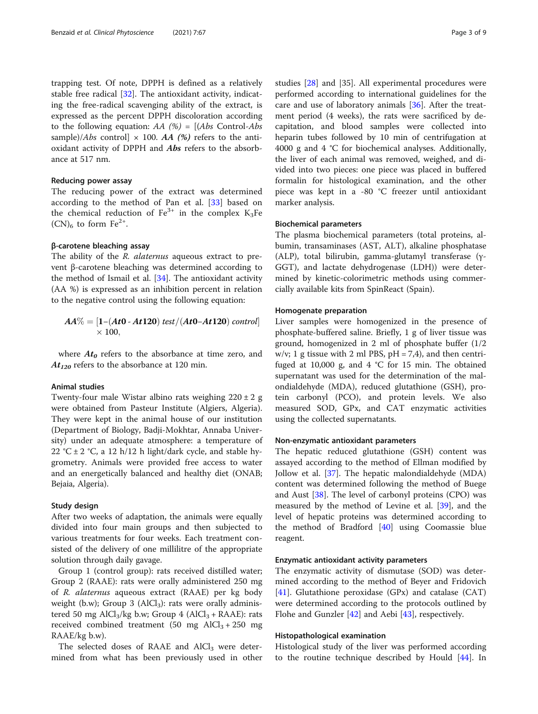trapping test. Of note, DPPH is defined as a relatively stable free radical [\[32](#page-7-0)]. The antioxidant activity, indicating the free-radical scavenging ability of the extract, is expressed as the percent DPPH discoloration according to the following equation:  $AA$  (%) = [(Abs Control-Abs sample)/*Abs* control]  $\times$  100. *AA* (%) refers to the antioxidant activity of DPPH and Abs refers to the absorbance at 517 nm.

## Reducing power assay

The reducing power of the extract was determined according to the method of Pan et al. [[33\]](#page-7-0) based on the chemical reduction of  $Fe^{3+}$  in the complex  $K_3Fe$  $(CN)<sub>6</sub>$  to form Fe<sup>2+</sup>.

## β-carotene bleaching assay

The ability of the R. alaternus aqueous extract to prevent β-carotene bleaching was determined according to the method of Ismail et al. [[34\]](#page-7-0). The antioxidant activity (AA %) is expressed as an inhibition percent in relation to the negative control using the following equation:

$$
AA\% = [1-(At0 - At120) test/(At0 - At120) control] \times 100,
$$

where  $At_0$  refers to the absorbance at time zero, and  $At_{120}$  refers to the absorbance at 120 min.

## Animal studies

Twenty-four male Wistar albino rats weighing  $220 \pm 2$  g were obtained from Pasteur Institute (Algiers, Algeria). They were kept in the animal house of our institution (Department of Biology, Badji-Mokhtar, Annaba University) under an adequate atmosphere: a temperature of 22 °C  $\pm$  2 °C, a 12 h/12 h light/dark cycle, and stable hygrometry. Animals were provided free access to water and an energetically balanced and healthy diet (ONAB; Bejaia, Algeria).

### Study design

After two weeks of adaptation, the animals were equally divided into four main groups and then subjected to various treatments for four weeks. Each treatment consisted of the delivery of one millilitre of the appropriate solution through daily gavage.

Group 1 (control group): rats received distilled water; Group 2 (RAAE): rats were orally administered 250 mg of R. alaternus aqueous extract (RAAE) per kg body weight (b.w); Group 3 ( $\text{AlCl}_3$ ): rats were orally administered 50 mg AlCl<sub>3</sub>/kg b.w; Group 4 (AlCl<sub>3</sub> + RAAE): rats received combined treatment (50 mg  $AICl_3 + 250$  mg RAAE/kg b.w).

The selected doses of RAAE and  $AlCl<sub>3</sub>$  were determined from what has been previously used in other studies [[28\]](#page-7-0) and |35]. All experimental procedures were performed according to international guidelines for the care and use of laboratory animals [\[36\]](#page-7-0). After the treatment period (4 weeks), the rats were sacrificed by decapitation, and blood samples were collected into heparin tubes followed by 10 min of centrifugation at 4000 g and 4 °C for biochemical analyses. Additionally, the liver of each animal was removed, weighed, and divided into two pieces: one piece was placed in buffered formalin for histological examination, and the other piece was kept in a -80 °C freezer until antioxidant marker analysis.

## Biochemical parameters

The plasma biochemical parameters (total proteins, albumin, transaminases (AST, ALT), alkaline phosphatase (ALP), total bilirubin, gamma-glutamyl transferase (γ-GGT), and lactate dehydrogenase (LDH)) were determined by kinetic-colorimetric methods using commercially available kits from SpinReact (Spain).

### Homogenate preparation

Liver samples were homogenized in the presence of phosphate-buffered saline. Briefly, 1 g of liver tissue was ground, homogenized in 2 ml of phosphate buffer (1/2  $w/v$ ; 1 g tissue with 2 ml PBS,  $pH = 7,4$ ), and then centrifuged at 10,000 g, and 4 °C for 15 min. The obtained supernatant was used for the determination of the malondialdehyde (MDA), reduced glutathione (GSH), protein carbonyl (PCO), and protein levels. We also measured SOD, GPx, and CAT enzymatic activities using the collected supernatants.

## Non-enzymatic antioxidant parameters

The hepatic reduced glutathione (GSH) content was assayed according to the method of Ellman modified by Jollow et al. [\[37](#page-7-0)]. The hepatic malondialdehyde (MDA) content was determined following the method of Buege and Aust [[38](#page-8-0)]. The level of carbonyl proteins (CPO) was measured by the method of Levine et al. [[39\]](#page-8-0), and the level of hepatic proteins was determined according to the method of Bradford [[40](#page-8-0)] using Coomassie blue reagent.

#### Enzymatic antioxidant activity parameters

The enzymatic activity of dismutase (SOD) was determined according to the method of Beyer and Fridovich [[41\]](#page-8-0). Glutathione peroxidase (GPx) and catalase (CAT) were determined according to the protocols outlined by Flohe and Gunzler [\[42\]](#page-8-0) and Aebi [\[43](#page-8-0)], respectively.

#### Histopathological examination

Histological study of the liver was performed according to the routine technique described by Hould [\[44](#page-8-0)]. In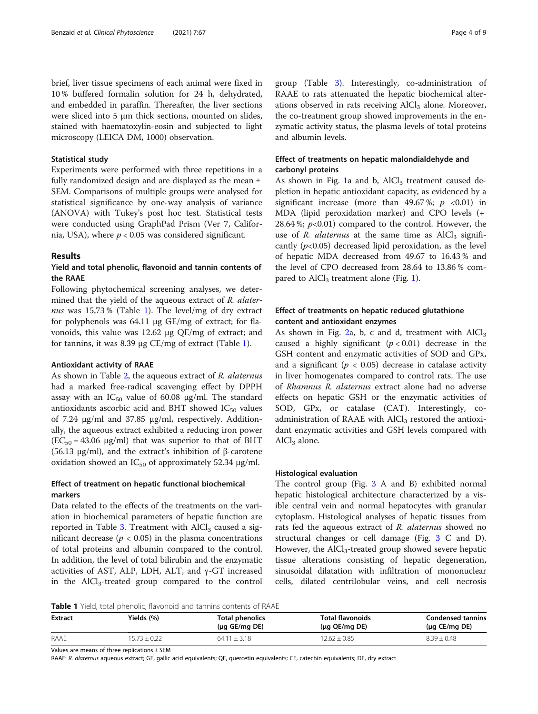brief, liver tissue specimens of each animal were fixed in 10 % buffered formalin solution for 24 h, dehydrated, and embedded in paraffin. Thereafter, the liver sections were sliced into 5 μm thick sections, mounted on slides, stained with haematoxylin-eosin and subjected to light microscopy (LEICA DM, 1000) observation.

## Statistical study

Experiments were performed with three repetitions in a fully randomized design and are displayed as the mean ± SEM. Comparisons of multiple groups were analysed for statistical significance by one-way analysis of variance (ANOVA) with Tukey's post hoc test. Statistical tests were conducted using GraphPad Prism (Ver 7, California, USA), where  $p < 0.05$  was considered significant.

#### Results

## Yield and total phenolic, flavonoid and tannin contents of the RAAE

Following phytochemical screening analyses, we determined that the yield of the aqueous extract of R. alaternus was 15,73% (Table 1). The level/mg of dry extract for polyphenols was 64.11 μg GE/mg of extract; for flavonoids, this value was 12.62 μg QE/mg of extract; and for tannins, it was 8.39 μg CE/mg of extract (Table 1).

#### Antioxidant activity of RAAE

As shown in Table [2,](#page-4-0) the aqueous extract of R. alaternus had a marked free-radical scavenging effect by DPPH assay with an  $IC_{50}$  value of 60.08 μg/ml. The standard antioxidants ascorbic acid and BHT showed  $IC_{50}$  values of 7.24 μg/ml and 37.85 μg/ml, respectively. Additionally, the aqueous extract exhibited a reducing iron power  $(EC_{50} = 43.06 \text{ µg/ml})$  that was superior to that of BHT (56.13 μg/ml), and the extract's inhibition of β-carotene oxidation showed an  $IC_{50}$  of approximately 52.34 μg/ml.

## Effect of treatment on hepatic functional biochemical markers

Data related to the effects of the treatments on the variation in biochemical parameters of hepatic function are reported in Table [3.](#page-4-0) Treatment with  $AICI<sub>3</sub>$  caused a significant decrease ( $p < 0.05$ ) in the plasma concentrations of total proteins and albumin compared to the control. In addition, the level of total bilirubin and the enzymatic activities of AST, ALP, LDH, ALT, and  $γ$ -GT increased in the  $\text{AlCl}_3$ -treated group compared to the control group (Table [3\)](#page-4-0). Interestingly, co-administration of RAAE to rats attenuated the hepatic biochemical alterations observed in rats receiving  $AICI<sub>3</sub>$  alone. Moreover, the co-treatment group showed improvements in the enzymatic activity status, the plasma levels of total proteins and albumin levels.

## Effect of treatments on hepatic malondialdehyde and carbonyl proteins

As shown in Fig. [1](#page-5-0)a and b,  $AICI<sub>3</sub>$  treatment caused depletion in hepatic antioxidant capacity, as evidenced by a significant increase (more than 49.67%;  $p \le 0.01$ ) in MDA (lipid peroxidation marker) and CPO levels (+ 28.64 %;  $p<0.01$ ) compared to the control. However, the use of R. *alaternus* at the same time as  $AICI<sub>3</sub>$  significantly  $(p<0.05)$  decreased lipid peroxidation, as the level of hepatic MDA decreased from 49.67 to 16.43 % and the level of CPO decreased from 28.64 to 13.86 % compared to  $AlCl<sub>3</sub>$  treatment alone (Fig. [1](#page-5-0)).

## Effect of treatments on hepatic reduced glutathione content and antioxidant enzymes

As shown in Fig. [2a](#page-5-0), b, c and d, treatment with  $AICI<sub>3</sub>$ caused a highly significant  $(p < 0.01)$  decrease in the GSH content and enzymatic activities of SOD and GPx, and a significant ( $p < 0.05$ ) decrease in catalase activity in liver homogenates compared to control rats. The use of Rhamnus R. alaternus extract alone had no adverse effects on hepatic GSH or the enzymatic activities of SOD, GPx, or catalase (CAT). Interestingly, coadministration of RAAE with  $AICI<sub>3</sub>$  restored the antioxidant enzymatic activities and GSH levels compared with  $AlCl<sub>3</sub>$  alone.

#### Histological evaluation

The control group (Fig. [3](#page-6-0) A and B) exhibited normal hepatic histological architecture characterized by a visible central vein and normal hepatocytes with granular cytoplasm. Histological analyses of hepatic tissues from rats fed the aqueous extract of R. alaternus showed no structural changes or cell damage (Fig. [3](#page-6-0) C and D). However, the  $\text{AlCl}_3$ -treated group showed severe hepatic tissue alterations consisting of hepatic degeneration, sinusoidal dilatation with infiltration of mononuclear cells, dilated centrilobular veins, and cell necrosis

Table 1 Yield, total phenolic, flavonoid and tannins contents of RAAE

| Extract | Yields (%)       | <b>Total phenolics</b><br>$(\mu q \; \text{GE/mq} \; \text{DE})$ | <b>Total flavonoids</b><br>$(\mu q \; QE/mq \; DE)$ | <b>Condensed tannins</b><br>$(\mu q \; \text{CE/mq} \; \text{DE})$ |
|---------|------------------|------------------------------------------------------------------|-----------------------------------------------------|--------------------------------------------------------------------|
| RAAE    | $15.73 \pm 0.22$ | $64.11 + 3.18$                                                   | $12.62 + 0.85$                                      | $8.39 \pm 0.48$                                                    |

Values are means of three replications ± SEM

RAAE: R. alaternus aqueous extract; GE, gallic acid equivalents; QE, quercetin equivalents; CE, catechin equivalents; DE, dry extract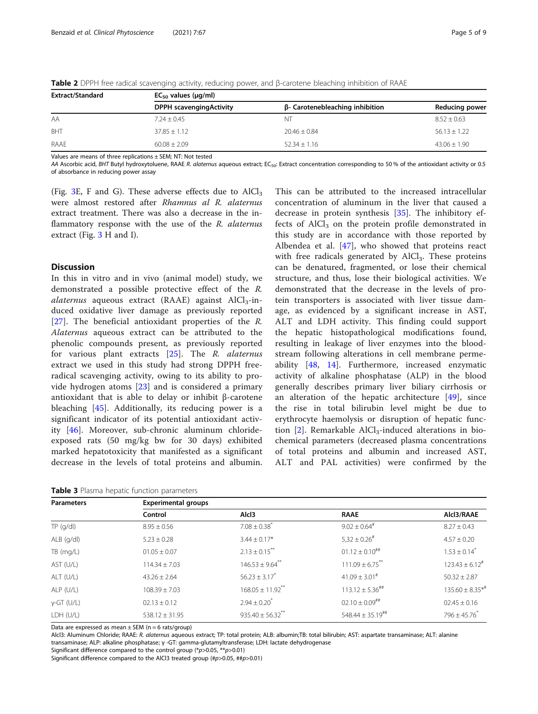| <b>Extract/Standard</b> | $EC_{50}$ values ( $\mu$ g/ml) |                                        |                  |  |  |
|-------------------------|--------------------------------|----------------------------------------|------------------|--|--|
|                         | <b>DPPH scavengingActivity</b> | $\beta$ - Carotenebleaching inhibition | Reducing power   |  |  |
| AA                      | $7.24 + 0.45$                  | ΝT                                     | $8.52 + 0.63$    |  |  |
| BHT                     | $37.85 + 1.12$                 | $20.46 + 0.84$                         | $56.13 + 1.22$   |  |  |
| RAAE                    | $60.08 + 2.09$                 | $52.34 + 1.16$                         | $43.06 \pm 1.90$ |  |  |

<span id="page-4-0"></span>Table 2 DPPH free radical scavenging activity, reducing power, and β-carotene bleaching inhibition of RAAE

Values are means of three replications ± SEM; NT: Not tested

AA Ascorbic acid, BHT Butyl hydroxytoluene, RAAE R. alaternus aqueous extract; EC<sub>50</sub>: Extract concentration corresponding to 50% of the antioxidant activity or 0.5 of absorbance in reducing power assay

(Fig. [3E](#page-6-0), F and G). These adverse effects due to  $AICI<sub>3</sub>$ were almost restored after Rhamnus al R. alaternus extract treatment. There was also a decrease in the inflammatory response with the use of the R. alaternus extract (Fig. [3](#page-6-0) H and I).

## **Discussion**

In this in vitro and in vivo (animal model) study, we demonstrated a possible protective effect of the R.  $\alpha$ laternus aqueous extract (RAAE) against AlCl<sub>3</sub>-induced oxidative liver damage as previously reported [[27\]](#page-7-0). The beneficial antioxidant properties of the R. Alaternus aqueous extract can be attributed to the phenolic compounds present, as previously reported for various plant extracts [\[25](#page-7-0)]. The R. alaternus extract we used in this study had strong DPPH freeradical scavenging activity, owing to its ability to provide hydrogen atoms [\[23](#page-7-0)] and is considered a primary antioxidant that is able to delay or inhibit β-carotene bleaching [\[45](#page-8-0)]. Additionally, its reducing power is a significant indicator of its potential antioxidant activity [[46\]](#page-8-0). Moreover, sub-chronic aluminum chlorideexposed rats (50 mg/kg bw for 30 days) exhibited marked hepatotoxicity that manifested as a significant decrease in the levels of total proteins and albumin.

Table 3 Plasma hepatic function parameters

This can be attributed to the increased intracellular concentration of aluminum in the liver that caused a decrease in protein synthesis [\[35](#page-7-0)]. The inhibitory effects of  $AICI<sub>3</sub>$  on the protein profile demonstrated in this study are in accordance with those reported by Albendea et al. [[47\]](#page-8-0), who showed that proteins react with free radicals generated by  $AICI<sub>3</sub>$ . These proteins can be denatured, fragmented, or lose their chemical structure, and thus, lose their biological activities. We demonstrated that the decrease in the levels of protein transporters is associated with liver tissue damage, as evidenced by a significant increase in AST, ALT and LDH activity. This finding could support the hepatic histopathological modifications found, resulting in leakage of liver enzymes into the bloodstream following alterations in cell membrane permeability [[48,](#page-8-0) [14](#page-7-0)]. Furthermore, increased enzymatic activity of alkaline phosphatase (ALP) in the blood generally describes primary liver biliary cirrhosis or an alteration of the hepatic architecture  $[49]$  $[49]$ , since the rise in total bilirubin level might be due to erythrocyte haemolysis or disruption of hepatic function  $[2]$  $[2]$ . Remarkable AlCl<sub>3</sub>-induced alterations in biochemical parameters (decreased plasma concentrations of total proteins and albumin and increased AST, ALT and PAL activities) were confirmed by the

| <b>Parameters</b> | <b>Experimental groups</b> |                                  |                                  |                               |  |  |
|-------------------|----------------------------|----------------------------------|----------------------------------|-------------------------------|--|--|
|                   | Control                    | Alcl3                            | <b>RAAE</b>                      | Alcl3/RAAE                    |  |  |
| $TP$ (g/dl)       | $8.95 \pm 0.56$            | $7.08 \pm 0.38$ <sup>*</sup>     | $9.02 \pm 0.64$ <sup>#</sup>     | $8.27 \pm 0.43$               |  |  |
| $ALB$ (g/dl)      | $5.23 \pm 0.28$            | $3.44 \pm 0.17$ *                | $5,32 \pm 0.26$ <sup>#</sup>     | $4.57 \pm 0.20$               |  |  |
| TB (mg/L)         | $01.05 \pm 0.07$           | $2.13 \pm 0.15$ <sup>**</sup>    | $01.12 \pm 0.10^{***}$           | $1.53 \pm 0.14$ <sup>*</sup>  |  |  |
| AST (U/L)         | $114.34 \pm 7.03$          | $146.53 \pm 9.64$ **             | $111.09 \pm 6.75$ **             | $123.43 \pm 6.12^{\text{\#}}$ |  |  |
| ALT (U/L)         | $43.26 \pm 2.64$           | $56.23 \pm 3.17$ <sup>*</sup>    | $41.09 \pm 3.01^{\#}$            | $50.32 \pm 2.87$              |  |  |
| $ALP$ (U/L)       | $108.39 \pm 7.03$          | $168.05 \pm 11.92$ <sup>**</sup> | $113.12 \pm 5.36$ <sup>##</sup>  | $135.60 \pm 8.35**$           |  |  |
| $y$ -GT (U/L)     | $02.13 \pm 0.12$           | $2.94 \pm 0.20^*$                | $02.10 \pm 0.09$ <sup>##</sup>   | $02.45 \pm 0.16$              |  |  |
| LDH (U/L)         | $538.12 \pm 31.95$         | $935.40 \pm 56.32$ **            | $548.44 \pm 35.19$ <sup>##</sup> | $796 \pm 45.76$               |  |  |

Data are expressed as mean  $\pm$  SEM (n = 6 rats/group)

Alcl3: Aluminum Chloride; RAAE: R. alaternus aqueous extract; TP: total protein; ALB: albumin;TB: total bilirubin; AST: aspartate transaminase; ALT: alanine transaminase; ALP: alkaline phosphatase; γ -GT: gamma-glutamyltransferase; LDH: lactate dehydrogenase

Significant difference compared to the control group (\*p>0.05, \*\*p>0.01)

Significant difference compared to the AlCl3 treated group (#p>0.05, ##p>0.01)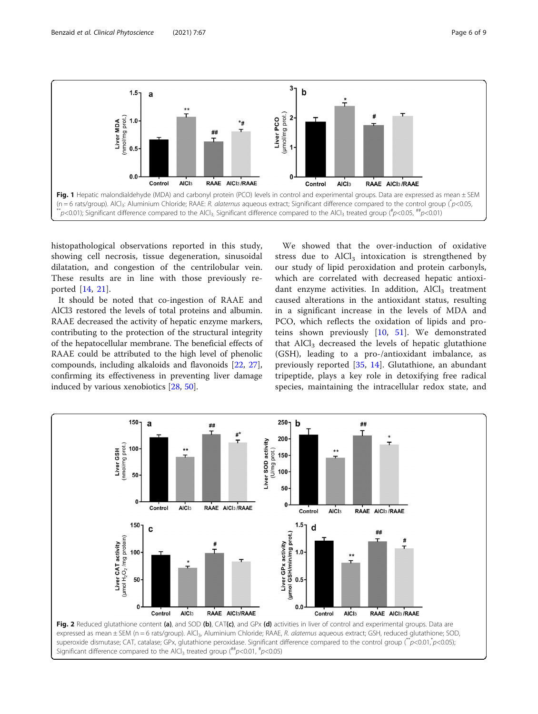<span id="page-5-0"></span>

histopathological observations reported in this study, showing cell necrosis, tissue degeneration, sinusoidal dilatation, and congestion of the centrilobular vein. These results are in line with those previously reported [\[14](#page-7-0), [21](#page-7-0)].

It should be noted that co-ingestion of RAAE and AlCl3 restored the levels of total proteins and albumin. RAAE decreased the activity of hepatic enzyme markers, contributing to the protection of the structural integrity of the hepatocellular membrane. The beneficial effects of RAAE could be attributed to the high level of phenolic compounds, including alkaloids and flavonoids [[22](#page-7-0), [27](#page-7-0)], confirming its effectiveness in preventing liver damage induced by various xenobiotics [\[28](#page-7-0), [50](#page-8-0)].

We showed that the over-induction of oxidative stress due to  $\text{AlCl}_3$  intoxication is strengthened by our study of lipid peroxidation and protein carbonyls, which are correlated with decreased hepatic antioxidant enzyme activities. In addition,  $AICI<sub>3</sub>$  treatment caused alterations in the antioxidant status, resulting in a significant increase in the levels of MDA and PCO, which reflects the oxidation of lipids and proteins shown previously [\[10](#page-7-0), [51](#page-8-0)]. We demonstrated that  $AlCl<sub>3</sub>$  decreased the levels of hepatic glutathione (GSH), leading to a pro-/antioxidant imbalance, as previously reported [[35,](#page-7-0) [14](#page-7-0)]. Glutathione, an abundant tripeptide, plays a key role in detoxifying free radical species, maintaining the intracellular redox state, and

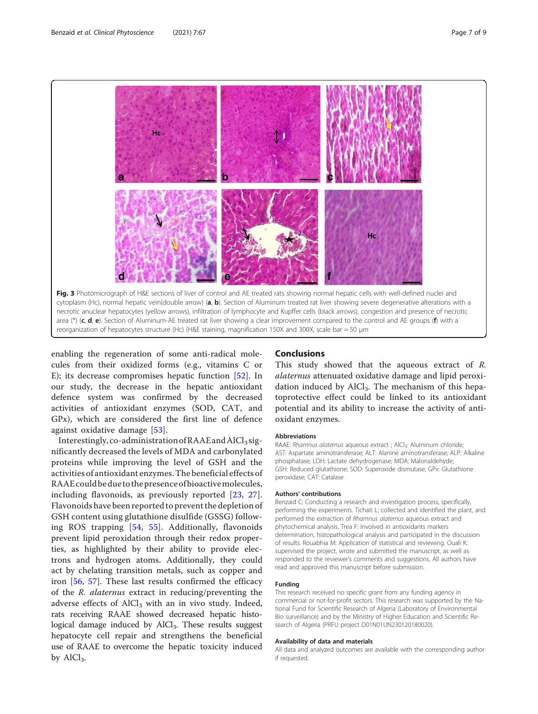<span id="page-6-0"></span>

reorganization of hepatocytes structure (Hc) (H&E staining, magnification 150X and 300X, scale bar = 50 μm

enabling the regeneration of some anti-radical molecules from their oxidized forms (e.g., vitamins C or E); its decrease compromises hepatic function [[52](#page-8-0)]. In our study, the decrease in the hepatic antioxidant defence system was confirmed by the decreased activities of antioxidant enzymes (SOD, CAT, and GPx), which are considered the first line of defence against oxidative damage [\[53](#page-8-0)].

Interestingly, co-administration of  $RAAE$  and  $AlCl<sub>3</sub>$  significantly decreased the levels of MDA and carbonylated proteins while improving the level of GSH and the activities of antioxidant enzymes.The beneficial effects of RAAEcouldbedue to thepresenceofbioactivemolecules, including flavonoids, as previously reported [[23,](#page-7-0) [27](#page-7-0)]. Flavonoids have been reported to prevent the depletion of GSH content using glutathione disulfide (GSSG) following ROS trapping [\[54,](#page-8-0) [55](#page-8-0)]. Additionally, flavonoids prevent lipid peroxidation through their redox properties, as highlighted by their ability to provide electrons and hydrogen atoms. Additionally, they could act by chelating transition metals, such as copper and iron [\[56](#page-8-0), [57](#page-8-0)]. These last results confirmed the efficacy of the R. alaternus extract in reducing/preventing the adverse effects of  $AICl<sub>3</sub>$  with an in vivo study. Indeed, rats receiving RAAE showed decreased hepatic histological damage induced by  $AICI<sub>3</sub>$ . These results suggest hepatocyte cell repair and strengthens the beneficial use of RAAE to overcome the hepatic toxicity induced by  $\text{AlCl}_3$ .

## Conclusions

This study showed that the aqueous extract of R. alaternus attenuated oxidative damage and lipid peroxidation induced by  $AICI_3$ . The mechanism of this hepatoprotective effect could be linked to its antioxidant potential and its ability to increase the activity of antioxidant enzymes.

#### **Abbreviations**

RAAE: Rhamnus alaternus aqueous extract ; AlCl<sub>3</sub>: Aluminum chloride; AST: Aspartate aminotransferase; ALT: Alanine aminotransferase; ALP: Alkaline phosphatase; LDH: Lactate dehydrogenase; MDA: Malonaldehyde; GSH: Reduced glutathione; SOD: Superoxide dismutase; GPx: Glutathione peroxidase; CAT: Catalase

#### Authors' contributions

Benzaid C: Conducting a research and investigation process, specifically, performing the experiments. Tichati L: collected and identified the plant, and performed the extraction of Rhamnus alaternus aqueous extract and phytochemical analysis. Trea F: Involved in antioxidants markers determination, histopathological analysis and participated in the discussion of results. Rouabhia M: Application of statistical and reviewing. Ouali K: supervised the project, wrote and submitted the manuscript, as well as responded to the reviewer's comments and suggestions. All authors have read and approved this manuscript before submission.

#### Funding

This research received no specific grant from any funding agency in commercial or not-for-profit sectors. This research was supported by the National Fund for Scientific Research of Algeria (Laboratory of Environmental Bio surveillance) and by the Ministry of Higher Education and Scientific Research of Algeria (PRFU project D01N01UN230120180020).

#### Availability of data and materials

All data and analyzed outcomes are available with the corresponding author if requested.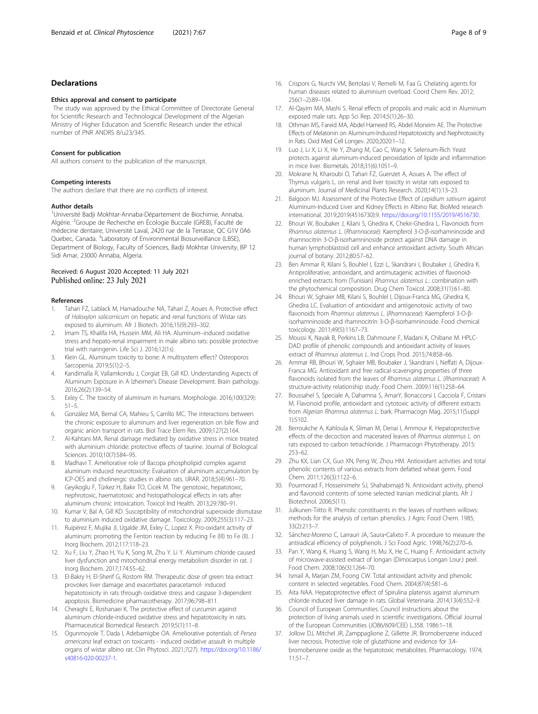## <span id="page-7-0"></span>Declarations

#### Ethics approval and consent to participate

The study was approved by the Ethical Committee of Directorate General for Scientific Research and Technological Development of the Algerian Ministry of Higher Education and Scientific Research under the ethical number of PNR ANDRS 8/u23/345.

#### Consent for publication

All authors consent to the publication of the manuscript.

#### Competing interests

The authors declare that there are no conflicts of interest.

#### Author details

<sup>1</sup>Université Badji Mokhtar-Annaba-Département de Biochimie, Annaba, Algérie. <sup>2</sup>Groupe de Recherche en Écologie Buccale (GREB), Faculté de médecine dentaire, Université Laval, 2420 rue de la Terrasse, QC G1V 0A6 Quebec, Canada. <sup>3</sup>Laboratory of Environmental Biosurveillance (LBSE), Department of Biology, Faculty of Sciences, Badji Mokhtar University, BP 12 Sidi Amar, 23000 Annaba, Algeria.

## Received: 6 August 2020 Accepted: 11 July 2021 Published online: 23 July 2021

#### References

- 1. Tahari FZ, Lablack M, Hamadouche NA, Tahari Z, Aoues A. Protective effect of Haloxylon salicornicum on hepatic and renal functions of Wistar rats exposed to aluminum. Afr J Biotech. 2016;15(9):293–302.
- 2. Imam TS, Khalifa HA, Hussein MM, Ali HA. Aluminum–induced oxidative stress and hepato-renal impairment in male albino rats: possible protective trial with naringenin. Life Sci J. 2016;12(1s).
- 3. Klein GL. Aluminum toxicity to bone: A multisystem effect? Osteoporos Sarcopenia. 2019;5(1):2–5.
- 4. Kandimalla R, Vallamkondu J, Corgiat EB, Gill KD. Understanding Aspects of Aluminum Exposure in A lzheimer's Disease Development. Brain pathology. 2016;26(2):139–54.
- 5. Exley C. The toxicity of aluminum in humans. Morphologie. 2016;100(329): 51–5.
- 6. González MA, Bernal CA, Mahieu S, Carrillo MC. The interactions between the chronic exposure to aluminum and liver regeneration on bile flow and organic anion transport in rats. Biol Trace Elem Res. 2009;127(2):164.
- 7. Al-Kahtani MA. Renal damage mediated by oxidative stress in mice treated with aluminium chloride: protective effects of taurine. Journal of Biological Sciences. 2010;10(7):584–95.
- Madhavi T. Ameliorative role of Bacopa phospholipid complex against aluminum induced neurotoxicity: Evaluation of aluminum accumulation by ICP-OES and cholinergic studies in albino rats. IJRAR. 2018;5(4):961–70.
- 9. Geyikoglu F, Türkez H, Bakir TO, Cicek M. The genotoxic, hepatotoxic, nephrotoxic, haematotoxic and histopathological effects in rats after aluminum chronic intoxication. Toxicol Ind Health. 2013;29:780–91.
- 10. Kumar V, Bal A, Gill KD. Susceptibility of mitochondrial superoxide dismutase to aluminium induced oxidative damage. Toxicology. 2009;255(3):117–23.
- 11. Ruipérez F, Mujika JI, Ugalde JM, Exley C, Lopez X. Pro-oxidant activity of aluminum: promoting the Fenton reaction by reducing Fe (III) to Fe (II). J Inorg Biochem. 2012;117:118–23.
- 12. Xu F, Liu Y, Zhao H, Yu K, Song M, Zhu Y. Li Y. Aluminum chloride caused liver dysfunction and mitochondrial energy metabolism disorder in rat. J Inorg Biochem. 2017;174:55–62.
- 13. El-Bakry H, El-Sherif G, Rostom RM. Therapeutic dose of green tea extract provokes liver damage and exacerbates paracetamol- induced hepatotoxicity in rats through oxidative stress and caspase 3-dependent apoptosis. Biomedicine pharmacotherapy. 2017;96:798–811.
- 14. Cheraghi E, Roshanaei K. The protective effect of curcumin against aluminum chloride-induced oxidative stress and hepatotoxicity in rats. Pharmaceutical Biomedical Research. 2019;5(1):11–8.
- 15. Ogunmoyole T, Dada I, Adebamigbe OA. Ameliorative potentials of Persea americana leaf extract on toxicants - induced oxidative assault in multiple organs of wistar albino rat. Clin Phytosci. 2021;7(27). [https://doi.org/10.1186/](https://doi.org/10.1186/s40816-020-00237-1) [s40816-020-00237-1](https://doi.org/10.1186/s40816-020-00237-1).
- 16. Crisponi G, Nurchi VM, Bertolasi V, Remelli M, Faa G. Chelating agents for human diseases related to aluminium overload. Coord Chem Rev. 2012; 256(1–2):89–104.
- 17. Al-Qayim MA, Mashi S. Renal effects of propolis and malic acid in Aluminum exposed male rats. App Sci Rep. 2014;5(1):26–30.
- 18. Othman MS, Fareid MA, Abdel Hameed RS, Abdel Moneim AE. The Protective Effects of Melatonin on Aluminum-Induced Hepatotoxicity and Nephrotoxicity in Rats. Oxid Med Cell Longev. 2020;2020:1–12.
- 19. Luo J, Li X, Li X, He Y, Zhang M, Cao C, Wang K. Selenium-Rich Yeast protects against aluminum-induced peroxidation of lipide and inflammation in mice liver. Biometals. 2018;31(6):1051–9.
- 20. Mokrane N, Kharoubi O, Tahari FZ, Guenzet A, Aoues A. The effect of Thymus vulgaris L. on renal and liver toxicity in wistar rats exposed to aluminum. Journal of Medicinal Plants Research. 2020;14(1):13–23.
- 21. Balgoon MJ. Assessment of the Protective Effect of Lepidium sativum against Aluminum-Induced Liver and Kidney Effects in Albino Rat. BioMed research international. 2019;2019(4516730):9. <https://doi.org/10.1155/2019/4516730>.
- 22. Bhouri W, Boubaker J, Kilani S, Ghedira K, Chekir-Ghedira L. Flavonoids from Rhamnus alaternus L. (Rhamnaceae): Kaempferol 3-O-β-isorhamninoside and rhamnocitrin 3-O-β-isorhamninoside protect against DNA damage in human lymphoblastoid cell and enhance antioxidant activity. South African journal of botany. 2012;80:57–62.
- 23. Ben Ammar R, Kilani S, Bouhlel I, Ezzi L, Skandrani I, Boubaker J, Ghedira K. Antiproliferative, antioxidant, and antimutagenic activities of flavonoidenriched extracts from (Tunisian) Rhamnus alaternus L.: combination with the phytochemical composition. Drug Chem Toxicol. 2008;31(1):61–80.
- 24. Bhouri W, Sghaier MB, Kilani S, Bouhlel I, Dijoux-Franca MG, Ghedira K, Ghedira LC. Evaluation of antioxidant and antigenotoxic activity of two flavonoids from Rhamnus alaternus L. (Rhamnaceae): Kaempferol 3-O-βisorhamninoside and rhamnocitrin 3-O-β-isorhamninoside. Food chemical toxicology. 2011;49(5):1167–73.
- 25. Moussi K, Nayak B, Perkins LB, Dahmoune F, Madani K, Chibane M. HPLC-DAD profile of phenolic compounds and antioxidant activity of leaves extract of Rhamnus alaternus L. Ind Crops Prod. 2015;74:858–66.
- 26. Ammar RB, Bhouri W, Sghaier MB, Boubaker J, Skandrani I, Neffati A, Dijoux-Franca MG. Antioxidant and free radical-scavenging properties of three flavonoids isolated from the leaves of Rhamnus alaternus L. (Rhamnaceae): A structure-activity relationship study. Food Chem. 2009;116(1):258–64.
- 27. Boussahel S, Speciale A, Dahamna S, AmarY, Bonaccorsi I, Cacciola F, Cristani M. Flavonoid profile, antioxidant and cytotoxic activity of different extracts from Algerian Rhamnus alaternus L. bark. Pharmacogn Mag. 2015;11(Suppl 1):S102.
- 28. Berroukche A, Kahloula K, Sliman M, Denai I, Ammour K. Hepatoprotective effects of the decoction and macerated leaves of Rhamnus alaternus L. on rats exposed to carbon tetrachloride. J Pharmacogn Phytotherapy. 2015: 253–62.
- 29. Zhu KX, Lian CX, Guo XN, Peng W, Zhou HM. Antioxidant activities and total phenolic contents of various extracts from defatted wheat germ. Food Chem. 2011;126(3):1122–6.
- 30. Pourmorad F, Hosseinimehr SJ, Shahabimajd N. Antioxidant activity, phenol and flavonoid contents of some selected Iranian medicinal plants. Afr J Biotechnol. 2006;5(11).
- 31. Julkunen-Tiitto R. Phenolic constituents in the leaves of northern willows: methods for the analysis of certain phenolics. J Agric Food Chem. 1985; 33(2):213–7.
- 32. Sánchez-Moreno C, Larrauri JA, Saura‐Calixto F. A procedure to measure the antiradical efficiency of polyphenols. J Sci Food Agric. 1998;76(2):270–6.
- 33. Pan Y, Wang K, Huang S, Wang H, Mu X, He C, Huang F. Antioxidant activity of microwave-assisted extract of longan (Dimocarpus Longan Lour.) peel. Food Chem. 2008;106(3):1264–70.
- 34. Ismail A, Marjan ZM, Foong CW. Total antioxidant activity and phenolic content in selected vegetables. Food Chem. 2004;87(4):581–6.
- 35. Aita NAA. Hepatoprotective effect of Spirulina platensis against aluminum chloride induced liver damage in rats. Global Veterinaria. 2014;13(4):552–9.
- 36. Council of European Communities. Council instructions about the protection of living animals used in scientific investigations. Official Journal of the European Communities (JO86/609/CEE) L.358. 1986:1–18.
- 37. Jollow DJ, Mitchel JR, Zamppaglione Z, Gillette JR. Bromobenzene induced liver necrosis. Protective role of glutathione and evidence for 3,4 bromobenzene oxide as the hepatotoxic metabolites. Pharmacology. 1974; 11:51–7.